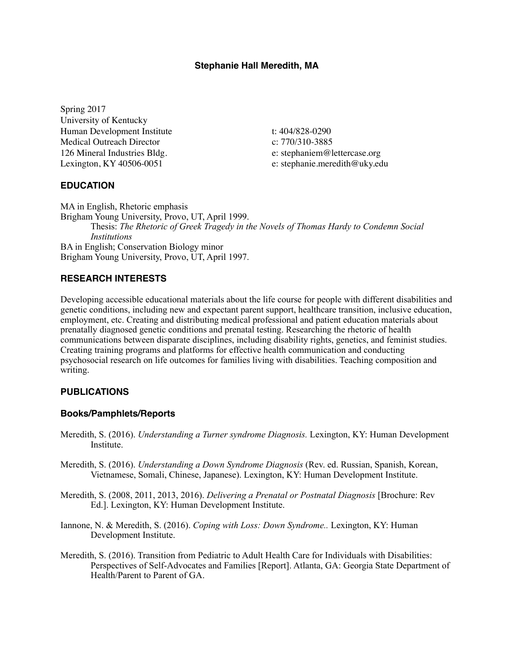### **Stephanie Hall Meredith, MA**

Spring 2017 University of Kentucky Human Development Institute Medical Outreach Director 126 Mineral Industries Bldg. Lexington, KY 40506-0051

t: 404/828-0290 c: 770/310-3885 e: stephaniem@lettercase.org e: stephanie.meredith@uky.edu

#### **EDUCATION**

MA in English, Rhetoric emphasis Brigham Young University, Provo, UT, April 1999. Thesis: *The Rhetoric of Greek Tragedy in the Novels of Thomas Hardy to Condemn Social Institutions*  BA in English; Conservation Biology minor Brigham Young University, Provo, UT, April 1997.

## **RESEARCH INTERESTS**

Developing accessible educational materials about the life course for people with different disabilities and genetic conditions, including new and expectant parent support, healthcare transition, inclusive education, employment, etc. Creating and distributing medical professional and patient education materials about prenatally diagnosed genetic conditions and prenatal testing. Researching the rhetoric of health communications between disparate disciplines, including disability rights, genetics, and feminist studies. Creating training programs and platforms for effective health communication and conducting psychosocial research on life outcomes for families living with disabilities. Teaching composition and writing.

#### **PUBLICATIONS**

#### **Books/Pamphlets/Reports**

- Meredith, S. (2016). *Understanding a Turner syndrome Diagnosis.* Lexington, KY: Human Development Institute.
- Meredith, S. (2016). *Understanding a Down Syndrome Diagnosis* (Rev. ed. Russian, Spanish, Korean, Vietnamese, Somali, Chinese, Japanese). Lexington, KY: Human Development Institute.
- Meredith, S. (2008, 2011, 2013, 2016). *Delivering a Prenatal or Postnatal Diagnosis* [Brochure: Rev Ed.]. Lexington, KY: Human Development Institute.
- Iannone, N. & Meredith, S. (2016). *Coping with Loss: Down Syndrome..* Lexington, KY: Human Development Institute.
- Meredith, S. (2016). Transition from Pediatric to Adult Health Care for Individuals with Disabilities: Perspectives of Self-Advocates and Families [Report]. Atlanta, GA: Georgia State Department of Health/Parent to Parent of GA.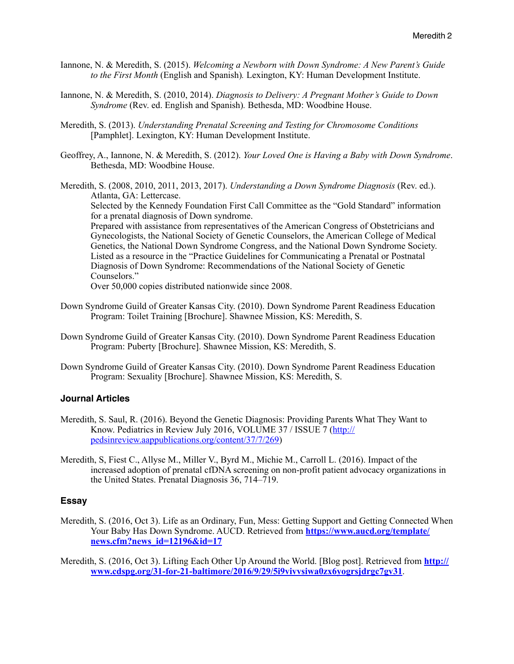- Iannone, N. & Meredith, S. (2015). *Welcoming a Newborn with Down Syndrome: A New Parent's Guide to the First Month* (English and Spanish)*.* Lexington, KY: Human Development Institute.
- Iannone, N. & Meredith, S. (2010, 2014). *Diagnosis to Delivery: A Pregnant Mother's Guide to Down Syndrome* (Rev. ed. English and Spanish)*.* Bethesda, MD: Woodbine House.
- Meredith, S. (2013). *Understanding Prenatal Screening and Testing for Chromosome Conditions* [Pamphlet]. Lexington, KY: Human Development Institute.
- Geoffrey, A., Iannone, N. & Meredith, S. (2012). *Your Loved One is Having a Baby with Down Syndrome*. Bethesda, MD: Woodbine House.
- Meredith, S. (2008, 2010, 2011, 2013, 2017). *Understanding a Down Syndrome Diagnosis* (Rev. ed.). Atlanta, GA: Lettercase.

 Selected by the Kennedy Foundation First Call Committee as the "Gold Standard" information for a prenatal diagnosis of Down syndrome.

 Prepared with assistance from representatives of the American Congress of Obstetricians and Gynecologists, the National Society of Genetic Counselors, the American College of Medical Genetics, the National Down Syndrome Congress, and the National Down Syndrome Society. Listed as a resource in the "Practice Guidelines for Communicating a Prenatal or Postnatal Diagnosis of Down Syndrome: Recommendations of the National Society of Genetic Counselors."

Over 50,000 copies distributed nationwide since 2008.

- Down Syndrome Guild of Greater Kansas City. (2010). Down Syndrome Parent Readiness Education Program: Toilet Training [Brochure]. Shawnee Mission, KS: Meredith, S.
- Down Syndrome Guild of Greater Kansas City. (2010). Down Syndrome Parent Readiness Education Program: Puberty [Brochure]. Shawnee Mission, KS: Meredith, S.
- Down Syndrome Guild of Greater Kansas City. (2010). Down Syndrome Parent Readiness Education Program: Sexuality [Brochure]. Shawnee Mission, KS: Meredith, S.

#### **Journal Articles**

- Meredith, S. Saul, R. (2016). Beyond the Genetic Diagnosis: Providing Parents What They Want to Know. Pediatrics in Review July 2016, VOLUME 37 / ISSUE 7 [\(http://](http://pedsinreview.aappublications.org/content/37/7/269) [pedsinreview.aappublications.org/content/37/7/269\)](http://pedsinreview.aappublications.org/content/37/7/269)
- Meredith, S, Fiest C., Allyse M., Miller V., Byrd M., Michie M., Carroll L. (2016). Impact of the increased adoption of prenatal cfDNA screening on non-profit patient advocacy organizations in the United States. Prenatal Diagnosis 36, 714–719.

#### **Essay**

Meredith, S. (2016, Oct 3). Life as an Ordinary, Fun, Mess: Getting Support and Getting Connected When Your Baby Has Down Syndrome. AUCD. Retrieved from **[https://www.aucd.org/template/](https://www.aucd.org/template/news.cfm?news_id=12196&id=17) [news.cfm?news\\_id=12196&id=17](https://www.aucd.org/template/news.cfm?news_id=12196&id=17)**

Meredith, S. (2016, Oct 3). Lifting Each Other Up Around the World. [Blog post]. Retrieved from **[http://](http://www.cdspg.org/31-for-21-baltimore/2016/9/29/5i9vivvsiwa0zx6yogrsjdrgc7gv31) [www.cdspg.org/31-for-21-baltimore/2016/9/29/5i9vivvsiwa0zx6yogrsjdrgc7gv31](http://www.cdspg.org/31-for-21-baltimore/2016/9/29/5i9vivvsiwa0zx6yogrsjdrgc7gv31)**.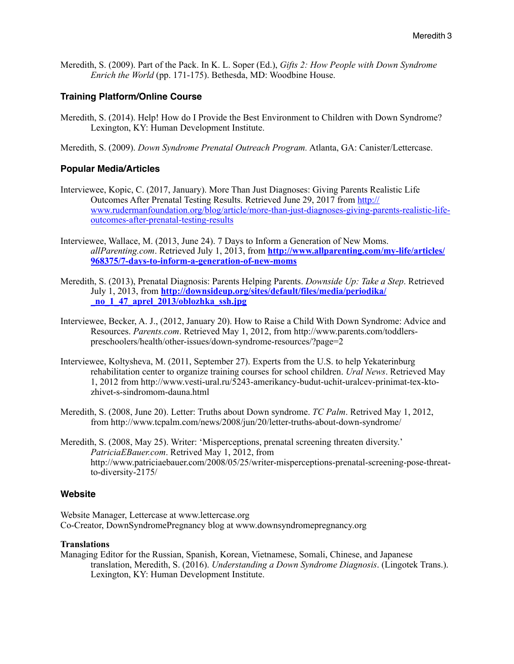Meredith, S. (2009). Part of the Pack. In K. L. Soper (Ed.), *Gifts 2: How People with Down Syndrome Enrich the World* (pp. 171-175). Bethesda, MD: Woodbine House.

### **Training Platform/Online Course**

- Meredith, S. (2014). Help! How do I Provide the Best Environment to Children with Down Syndrome? Lexington, KY: Human Development Institute.
- Meredith, S. (2009). *Down Syndrome Prenatal Outreach Program.* Atlanta, GA: Canister/Lettercase.

#### **Popular Media/Articles**

- Interviewee, Kopic, C. (2017, January). More Than Just Diagnoses: Giving Parents Realistic Life Outcomes After Prenatal Testing Results. Retrieved June 29, 2017 from [http://](http://www.rudermanfoundation.org/blog/article/more-than-just-diagnoses-giving-parents-realistic-life-outcomes-after-prenatal-testing-results) [www.rudermanfoundation.org/blog/article/more-than-just-diagnoses-giving-parents-realistic-life](http://www.rudermanfoundation.org/blog/article/more-than-just-diagnoses-giving-parents-realistic-life-outcomes-after-prenatal-testing-results)[outcomes-after-prenatal-testing-results](http://www.rudermanfoundation.org/blog/article/more-than-just-diagnoses-giving-parents-realistic-life-outcomes-after-prenatal-testing-results)
- Interviewee, Wallace, M. (2013, June 24). 7 Days to Inform a Generation of New Moms. *allParenting.com*. Retrieved July 1, 2013, from **[http://www.allparenting.com/my-life/articles/](http://www.allparenting.com/my-life/articles/968375/7-days-to-inform-a-generation-of-new-moms) [968375/7-days-to-inform-a-generation-of-new-moms](http://www.allparenting.com/my-life/articles/968375/7-days-to-inform-a-generation-of-new-moms)**
- Meredith, S. (2013), Prenatal Diagnosis: Parents Helping Parents. *Downside Up: Take a Step*. Retrieved July 1, 2013, from **[http://downsideup.org/sites/default/files/media/periodika/](http://downsideup.org/sites/default/files/media/periodika/_no_1_47_aprel_2013/oblozhka_ssh.jpg) [\\_no\\_1\\_47\\_aprel\\_2013/oblozhka\\_ssh.jpg](http://downsideup.org/sites/default/files/media/periodika/_no_1_47_aprel_2013/oblozhka_ssh.jpg)**
- Interviewee, Becker, A. J., (2012, January 20). How to Raise a Child With Down Syndrome: Advice and Resources. *Parents.com*. Retrieved May 1, 2012, from http://www.parents.com/toddlerspreschoolers/health/other-issues/down-syndrome-resources/?page=2
- Interviewee, Koltysheva, M. (2011, September 27). Experts from the U.S. to help Yekaterinburg rehabilitation center to organize training courses for school children. *Ural News*. Retrieved May 1, 2012 from http://www.vesti-ural.ru/5243-amerikancy-budut-uchit-uralcev-prinimat-tex-ktozhivet-s-sindromom-dauna.html
- Meredith, S. (2008, June 20). Letter: Truths about Down syndrome. *TC Palm*. Retrived May 1, 2012, from<http://www.tcpalm.com/news/2008/jun/20/letter-truths-about-down-syndrome/>
- Meredith, S. (2008, May 25). Writer: 'Misperceptions, prenatal screening threaten diversity.' *PatriciaEBauer.com*. Retrived May 1, 2012, from [http://www.patriciaebauer.com/2008/05/25/writer-misperceptions-prenatal-screening-pose-threat](http://www.patriciaebauer.com/2008/05/25/writer-misperceptions-prenatal-screening-pose-threat-to-)[to-](http://www.patriciaebauer.com/2008/05/25/writer-misperceptions-prenatal-screening-pose-threat-to-)diversity-2175/

#### **Website**

Website Manager, Lettercase at www.lettercase.org Co-Creator, DownSyndromePregnancy blog at www.downsyndromepregnancy.org

#### **Translations**

Managing Editor for the Russian, Spanish, Korean, Vietnamese, Somali, Chinese, and Japanese translation, Meredith, S. (2016). *Understanding a Down Syndrome Diagnosis*. (Lingotek Trans.). Lexington, KY: Human Development Institute.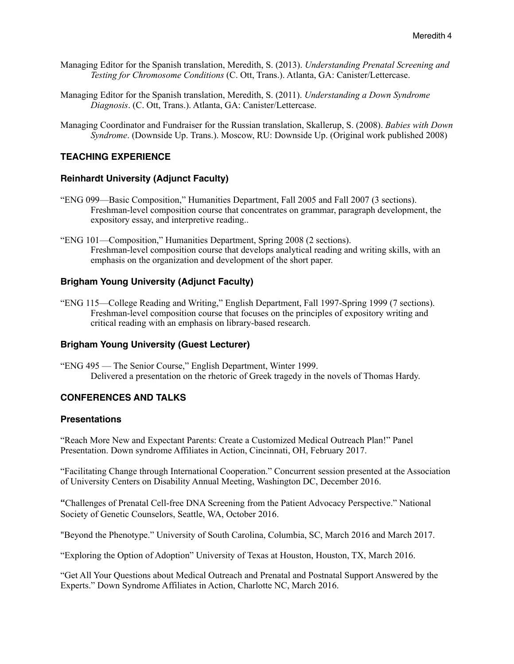- Managing Editor for the Spanish translation, Meredith, S. (2013). *Understanding Prenatal Screening and Testing for Chromosome Conditions* (C. Ott, Trans.). Atlanta, GA: Canister/Lettercase.
- Managing Editor for the Spanish translation, Meredith, S. (2011). *Understanding a Down Syndrome Diagnosis*. (C. Ott, Trans.). Atlanta, GA: Canister/Lettercase.
- Managing Coordinator and Fundraiser for the Russian translation, Skallerup, S. (2008). *Babies with Down Syndrome*. (Downside Up. Trans.). Moscow, RU: Downside Up. (Original work published 2008)

# **TEACHING EXPERIENCE**

### **Reinhardt University (Adjunct Faculty)**

- "ENG 099—Basic Composition," Humanities Department, Fall 2005 and Fall 2007 (3 sections). Freshman-level composition course that concentrates on grammar, paragraph development, the expository essay, and interpretive reading..
- "ENG 101—Composition," Humanities Department, Spring 2008 (2 sections). Freshman-level composition course that develops analytical reading and writing skills, with an emphasis on the organization and development of the short paper.

## **Brigham Young University (Adjunct Faculty)**

"ENG 115—College Reading and Writing," English Department, Fall 1997-Spring 1999 (7 sections). Freshman-level composition course that focuses on the principles of expository writing and critical reading with an emphasis on library-based research.

#### **Brigham Young University (Guest Lecturer)**

"ENG 495 — The Senior Course," English Department, Winter 1999. Delivered a presentation on the rhetoric of Greek tragedy in the novels of Thomas Hardy.

# **CONFERENCES AND TALKS**

#### **Presentations**

"Reach More New and Expectant Parents: Create a Customized Medical Outreach Plan!" Panel Presentation. Down syndrome Affiliates in Action, Cincinnati, OH, February 2017.

"Facilitating Change through International Cooperation." Concurrent session presented at the Association of University Centers on Disability Annual Meeting, Washington DC, December 2016.

**"**Challenges of Prenatal Cell-free DNA Screening from the Patient Advocacy Perspective." National Society of Genetic Counselors, Seattle, WA, October 2016.

"Beyond the Phenotype." University of South Carolina, Columbia, SC, March 2016 and March 2017.

"Exploring the Option of Adoption" University of Texas at Houston, Houston, TX, March 2016.

"Get All Your Questions about Medical Outreach and Prenatal and Postnatal Support Answered by the Experts." Down Syndrome Affiliates in Action, Charlotte NC, March 2016.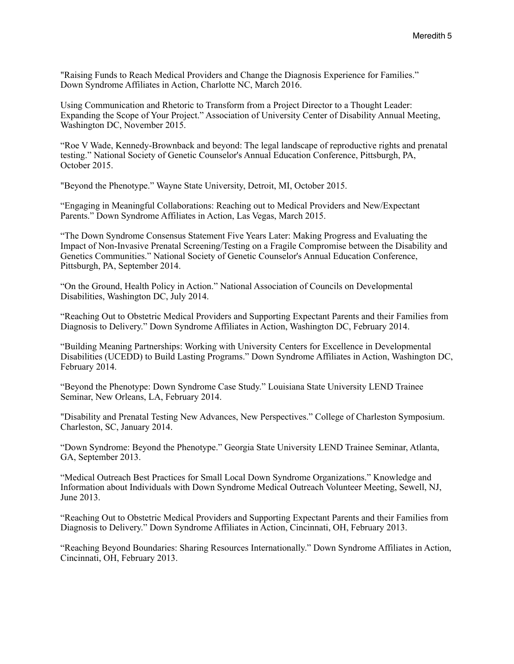"Raising Funds to Reach Medical Providers and Change the Diagnosis Experience for Families." Down Syndrome Affiliates in Action, Charlotte NC, March 2016.

Using Communication and Rhetoric to Transform from a Project Director to a Thought Leader: Expanding the Scope of Your Project." Association of University Center of Disability Annual Meeting, Washington DC, November 2015.

"Roe V Wade, Kennedy-Brownback and beyond: The legal landscape of reproductive rights and prenatal testing." National Society of Genetic Counselor's Annual Education Conference, Pittsburgh, PA, October 2015.

"Beyond the Phenotype." Wayne State University, Detroit, MI, October 2015.

"Engaging in Meaningful Collaborations: Reaching out to Medical Providers and New/Expectant Parents." Down Syndrome Affiliates in Action, Las Vegas, March 2015.

"The Down Syndrome Consensus Statement Five Years Later: Making Progress and Evaluating the Impact of Non-Invasive Prenatal Screening/Testing on a Fragile Compromise between the Disability and Genetics Communities." National Society of Genetic Counselor's Annual Education Conference, Pittsburgh, PA, September 2014.

"On the Ground, Health Policy in Action." National Association of Councils on Developmental Disabilities, Washington DC, July 2014.

"Reaching Out to Obstetric Medical Providers and Supporting Expectant Parents and their Families from Diagnosis to Delivery." Down Syndrome Affiliates in Action, Washington DC, February 2014.

"Building Meaning Partnerships: Working with University Centers for Excellence in Developmental Disabilities (UCEDD) to Build Lasting Programs." Down Syndrome Affiliates in Action, Washington DC, February 2014.

"Beyond the Phenotype: Down Syndrome Case Study." Louisiana State University LEND Trainee Seminar, New Orleans, LA, February 2014.

"Disability and Prenatal Testing New Advances, New Perspectives." College of Charleston Symposium. Charleston, SC, January 2014.

"Down Syndrome: Beyond the Phenotype." Georgia State University LEND Trainee Seminar, Atlanta, GA, September 2013.

"Medical Outreach Best Practices for Small Local Down Syndrome Organizations." Knowledge and Information about Individuals with Down Syndrome Medical Outreach Volunteer Meeting, Sewell, NJ, June 2013.

"Reaching Out to Obstetric Medical Providers and Supporting Expectant Parents and their Families from Diagnosis to Delivery." Down Syndrome Affiliates in Action, Cincinnati, OH, February 2013.

"Reaching Beyond Boundaries: Sharing Resources Internationally." Down Syndrome Affiliates in Action, Cincinnati, OH, February 2013.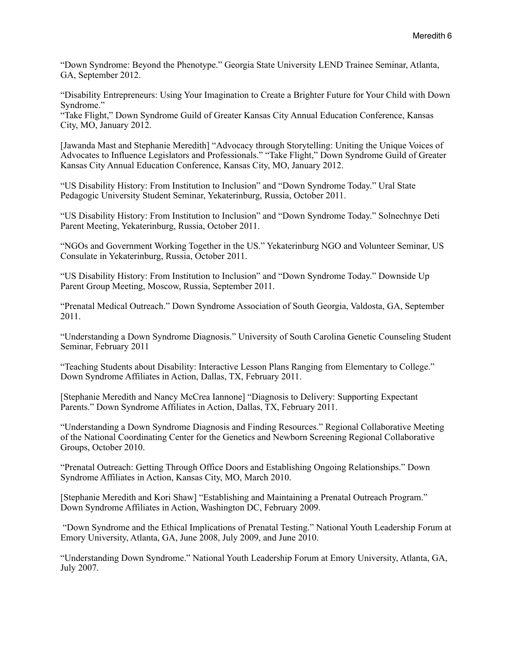"Down Syndrome: Beyond the Phenotype." Georgia State University LEND Trainee Seminar, Atlanta, GA, September 2012.

"Disability Entrepreneurs: Using Your Imagination to Create a Brighter Future for Your Child with Down Syndrome."

"Take Flight," Down Syndrome Guild of Greater Kansas City Annual Education Conference, Kansas City, MO, January 2012.

[Jawanda Mast and Stephanie Meredith] "Advocacy through Storytelling: Uniting the Unique Voices of Advocates to Influence Legislators and Professionals." "Take Flight," Down Syndrome Guild of Greater Kansas City Annual Education Conference, Kansas City, MO, January 2012.

"US Disability History: From Institution to Inclusion" and "Down Syndrome Today." Ural State Pedagogic University Student Seminar, Yekaterinburg, Russia, October 2011.

"US Disability History: From Institution to Inclusion" and "Down Syndrome Today." Solnechnye Deti Parent Meeting, Yekaterinburg, Russia, October 2011.

"NGOs and Government Working Together in the US." Yekaterinburg NGO and Volunteer Seminar, US Consulate in Yekaterinburg, Russia, October 2011.

"US Disability History: From Institution to Inclusion" and "Down Syndrome Today." Downside Up Parent Group Meeting, Moscow, Russia, September 2011.

"Prenatal Medical Outreach." Down Syndrome Association of South Georgia, Valdosta, GA, September 2011.

"Understanding a Down Syndrome Diagnosis." University of South Carolina Genetic Counseling Student Seminar, February 2011

"Teaching Students about Disability: Interactive Lesson Plans Ranging from Elementary to College." Down Syndrome Affiliates in Action, Dallas, TX, February 2011.

[Stephanie Meredith and Nancy McCrea Iannone] "Diagnosis to Delivery: Supporting Expectant Parents." Down Syndrome Affiliates in Action, Dallas, TX, February 2011.

"Understanding a Down Syndrome Diagnosis and Finding Resources." Regional Collaborative Meeting of the National Coordinating Center for the Genetics and Newborn Screening Regional Collaborative Groups, October 2010.

"Prenatal Outreach: Getting Through Office Doors and Establishing Ongoing Relationships." Down Syndrome Affiliates in Action, Kansas City, MO, March 2010.

[Stephanie Meredith and Kori Shaw] "Establishing and Maintaining a Prenatal Outreach Program." Down Syndrome Affiliates in Action, Washington DC, February 2009.

 "Down Syndrome and the Ethical Implications of Prenatal Testing." National Youth Leadership Forum at Emory University, Atlanta, GA, June 2008, July 2009, and June 2010.

"Understanding Down Syndrome." National Youth Leadership Forum at Emory University, Atlanta, GA, July 2007.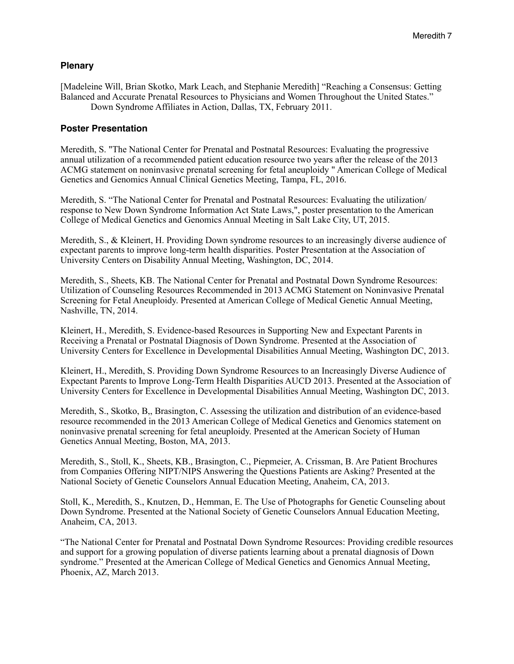#### **Plenary**

[Madeleine Will, Brian Skotko, Mark Leach, and Stephanie Meredith] "Reaching a Consensus: Getting Balanced and Accurate Prenatal Resources to Physicians and Women Throughout the United States." Down Syndrome Affiliates in Action, Dallas, TX, February 2011.

#### **Poster Presentation**

Meredith, S. "The National Center for Prenatal and Postnatal Resources: Evaluating the progressive annual utilization of a recommended patient education resource two years after the release of the 2013 ACMG statement on noninvasive prenatal screening for fetal aneuploidy " American College of Medical Genetics and Genomics Annual Clinical Genetics Meeting, Tampa, FL, 2016.

Meredith, S. "The National Center for Prenatal and Postnatal Resources: Evaluating the utilization/ response to New Down Syndrome Information Act State Laws,", poster presentation to the American College of Medical Genetics and Genomics Annual Meeting in Salt Lake City, UT, 2015.

Meredith, S., & Kleinert, H. Providing Down syndrome resources to an increasingly diverse audience of expectant parents to improve long-term health disparities. Poster Presentation at the Association of University Centers on Disability Annual Meeting, Washington, DC, 2014.

Meredith, S., Sheets, KB. The National Center for Prenatal and Postnatal Down Syndrome Resources: Utilization of Counseling Resources Recommended in 2013 ACMG Statement on Noninvasive Prenatal Screening for Fetal Aneuploidy. Presented at American College of Medical Genetic Annual Meeting, Nashville, TN, 2014.

Kleinert, H., Meredith, S. Evidence-based Resources in Supporting New and Expectant Parents in Receiving a Prenatal or Postnatal Diagnosis of Down Syndrome. Presented at the Association of University Centers for Excellence in Developmental Disabilities Annual Meeting, Washington DC, 2013.

Kleinert, H., Meredith, S. Providing Down Syndrome Resources to an Increasingly Diverse Audience of Expectant Parents to Improve Long-Term Health Disparities AUCD 2013. Presented at the Association of University Centers for Excellence in Developmental Disabilities Annual Meeting, Washington DC, 2013.

Meredith, S., Skotko, B,, Brasington, C. Assessing the utilization and distribution of an evidence-based resource recommended in the 2013 American College of Medical Genetics and Genomics statement on noninvasive prenatal screening for fetal aneuploidy. Presented at the American Society of Human Genetics Annual Meeting, Boston, MA, 2013.

Meredith, S., Stoll, K., Sheets, KB., Brasington, C., Piepmeier, A. Crissman, B. Are Patient Brochures from Companies Offering NIPT/NIPS Answering the Questions Patients are Asking? Presented at the National Society of Genetic Counselors Annual Education Meeting, Anaheim, CA, 2013.

Stoll, K., Meredith, S., Knutzen, D., Hemman, E. The Use of Photographs for Genetic Counseling about Down Syndrome. Presented at the National Society of Genetic Counselors Annual Education Meeting, Anaheim, CA, 2013.

"The National Center for Prenatal and Postnatal Down Syndrome Resources: Providing credible resources and support for a growing population of diverse patients learning about a prenatal diagnosis of Down syndrome." Presented at the American College of Medical Genetics and Genomics Annual Meeting, Phoenix, AZ, March 2013.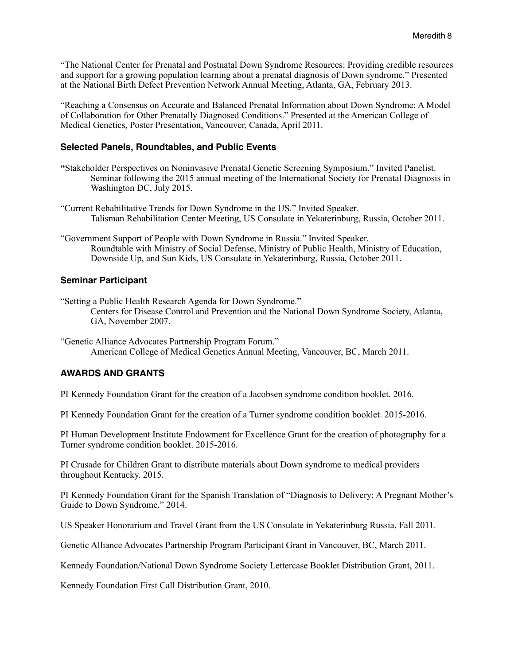"The National Center for Prenatal and Postnatal Down Syndrome Resources: Providing credible resources and support for a growing population learning about a prenatal diagnosis of Down syndrome." Presented at the National Birth Defect Prevention Network Annual Meeting, Atlanta, GA, February 2013.

"Reaching a Consensus on Accurate and Balanced Prenatal Information about Down Syndrome: A Model of Collaboration for Other Prenatally Diagnosed Conditions." Presented at the American College of Medical Genetics, Poster Presentation, Vancouver, Canada, April 2011.

#### **Selected Panels, Roundtables, and Public Events**

- **"**Stakeholder Perspectives on Noninvasive Prenatal Genetic Screening Symposium." Invited Panelist. Seminar following the 2015 annual meeting of the International Society for Prenatal Diagnosis in Washington DC, July 2015.
- "Current Rehabilitative Trends for Down Syndrome in the US." Invited Speaker. Talisman Rehabilitation Center Meeting, US Consulate in Yekaterinburg, Russia, October 2011.
- "Government Support of People with Down Syndrome in Russia." Invited Speaker. Roundtable with Ministry of Social Defense, Ministry of Public Health, Ministry of Education, Downside Up, and Sun Kids, US Consulate in Yekaterinburg, Russia, October 2011.

### **Seminar Participant**

"Setting a Public Health Research Agenda for Down Syndrome." Centers for Disease Control and Prevention and the National Down Syndrome Society, Atlanta, GA, November 2007.

"Genetic Alliance Advocates Partnership Program Forum." American College of Medical Genetics Annual Meeting, Vancouver, BC, March 2011.

## **AWARDS AND GRANTS**

PI Kennedy Foundation Grant for the creation of a Jacobsen syndrome condition booklet. 2016.

PI Kennedy Foundation Grant for the creation of a Turner syndrome condition booklet. 2015-2016.

PI Human Development Institute Endowment for Excellence Grant for the creation of photography for a Turner syndrome condition booklet. 2015-2016.

PI Crusade for Children Grant to distribute materials about Down syndrome to medical providers throughout Kentucky. 2015.

PI Kennedy Foundation Grant for the Spanish Translation of "Diagnosis to Delivery: A Pregnant Mother's Guide to Down Syndrome." 2014.

US Speaker Honorarium and Travel Grant from the US Consulate in Yekaterinburg Russia, Fall 2011.

Genetic Alliance Advocates Partnership Program Participant Grant in Vancouver, BC, March 2011.

Kennedy Foundation/National Down Syndrome Society Lettercase Booklet Distribution Grant, 2011.

Kennedy Foundation First Call Distribution Grant, 2010.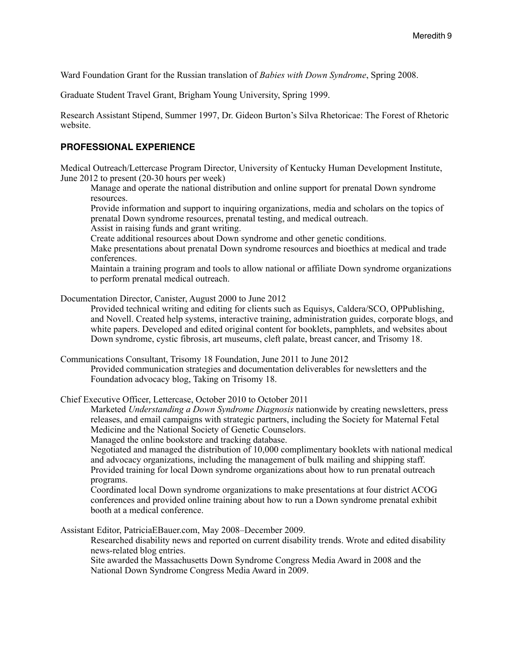Ward Foundation Grant for the Russian translation of *Babies with Down Syndrome*, Spring 2008.

Graduate Student Travel Grant, Brigham Young University, Spring 1999.

Research Assistant Stipend, Summer 1997, Dr. Gideon Burton's Silva Rhetoricae: The Forest of Rhetoric website.

#### **PROFESSIONAL EXPERIENCE**

Medical Outreach/Lettercase Program Director, University of Kentucky Human Development Institute, June 2012 to present (20-30 hours per week)

Manage and operate the national distribution and online support for prenatal Down syndrome resources.

Provide information and support to inquiring organizations, media and scholars on the topics of prenatal Down syndrome resources, prenatal testing, and medical outreach.

Assist in raising funds and grant writing.

Create additional resources about Down syndrome and other genetic conditions.

Make presentations about prenatal Down syndrome resources and bioethics at medical and trade conferences.

Maintain a training program and tools to allow national or affiliate Down syndrome organizations to perform prenatal medical outreach.

Documentation Director, Canister, August 2000 to June 2012

Provided technical writing and editing for clients such as Equisys, Caldera/SCO, OPPublishing, and Novell. Created help systems, interactive training, administration guides, corporate blogs, and white papers. Developed and edited original content for booklets, pamphlets, and websites about Down syndrome, cystic fibrosis, art museums, cleft palate, breast cancer, and Trisomy 18.

Communications Consultant, Trisomy 18 Foundation, June 2011 to June 2012

Provided communication strategies and documentation deliverables for newsletters and the Foundation advocacy blog, Taking on Trisomy 18.

Chief Executive Officer, Lettercase, October 2010 to October 2011

Marketed *Understanding a Down Syndrome Diagnosis* nationwide by creating newsletters, press releases, and email campaigns with strategic partners, including the Society for Maternal Fetal Medicine and the National Society of Genetic Counselors.

Managed the online bookstore and tracking database.

Negotiated and managed the distribution of 10,000 complimentary booklets with national medical and advocacy organizations, including the management of bulk mailing and shipping staff. Provided training for local Down syndrome organizations about how to run prenatal outreach programs.

Coordinated local Down syndrome organizations to make presentations at four district ACOG conferences and provided online training about how to run a Down syndrome prenatal exhibit booth at a medical conference.

Assistant Editor, PatriciaEBauer.com, May 2008–December 2009.

Researched disability news and reported on current disability trends. Wrote and edited disability news-related blog entries.

Site awarded the Massachusetts Down Syndrome Congress Media Award in 2008 and the National Down Syndrome Congress Media Award in 2009.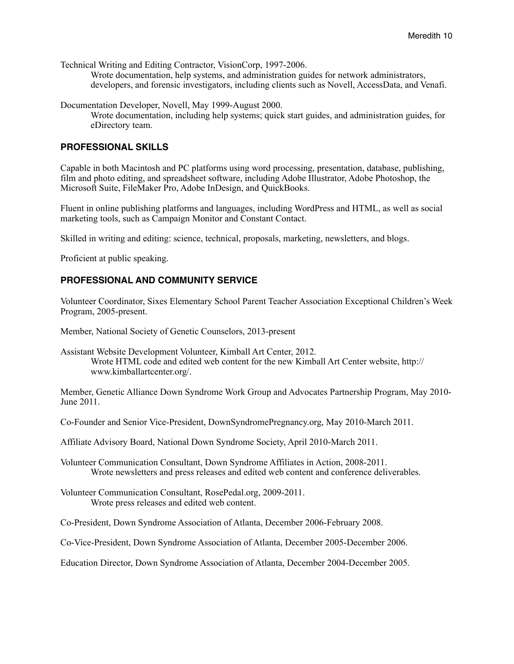Technical Writing and Editing Contractor, VisionCorp, 1997-2006.

Wrote documentation, help systems, and administration guides for network administrators, developers, and forensic investigators, including clients such as Novell, AccessData, and Venafi.

Documentation Developer, Novell, May 1999-August 2000.

Wrote documentation, including help systems; quick start guides, and administration guides, for eDirectory team.

### **PROFESSIONAL SKILLS**

Capable in both Macintosh and PC platforms using word processing, presentation, database, publishing, film and photo editing, and spreadsheet software, including Adobe Illustrator, Adobe Photoshop, the Microsoft Suite, FileMaker Pro, Adobe InDesign, and QuickBooks.

Fluent in online publishing platforms and languages, including WordPress and HTML, as well as social marketing tools, such as Campaign Monitor and Constant Contact.

Skilled in writing and editing: science, technical, proposals, marketing, newsletters, and blogs.

Proficient at public speaking.

## **PROFESSIONAL AND COMMUNITY SERVICE**

Volunteer Coordinator, Sixes Elementary School Parent Teacher Association Exceptional Children's Week Program, 2005-present.

Member, National Society of Genetic Counselors, 2013-present

Assistant Website Development Volunteer, Kimball Art Center, 2012. Wrote HTML code and edited web content for the new Kimball Art Center website, http:// www.kimballartcenter.org/.

Member, Genetic Alliance Down Syndrome Work Group and Advocates Partnership Program, May 2010- June 2011.

Co-Founder and Senior Vice-President, DownSyndromePregnancy.org, May 2010-March 2011.

Affiliate Advisory Board, National Down Syndrome Society, April 2010-March 2011.

Volunteer Communication Consultant, Down Syndrome Affiliates in Action, 2008-2011. Wrote newsletters and press releases and edited web content and conference deliverables.

Volunteer Communication Consultant, RosePedal.org, 2009-2011. Wrote press releases and edited web content.

Co-President, Down Syndrome Association of Atlanta, December 2006-February 2008.

Co-Vice-President, Down Syndrome Association of Atlanta, December 2005-December 2006.

Education Director, Down Syndrome Association of Atlanta, December 2004-December 2005.